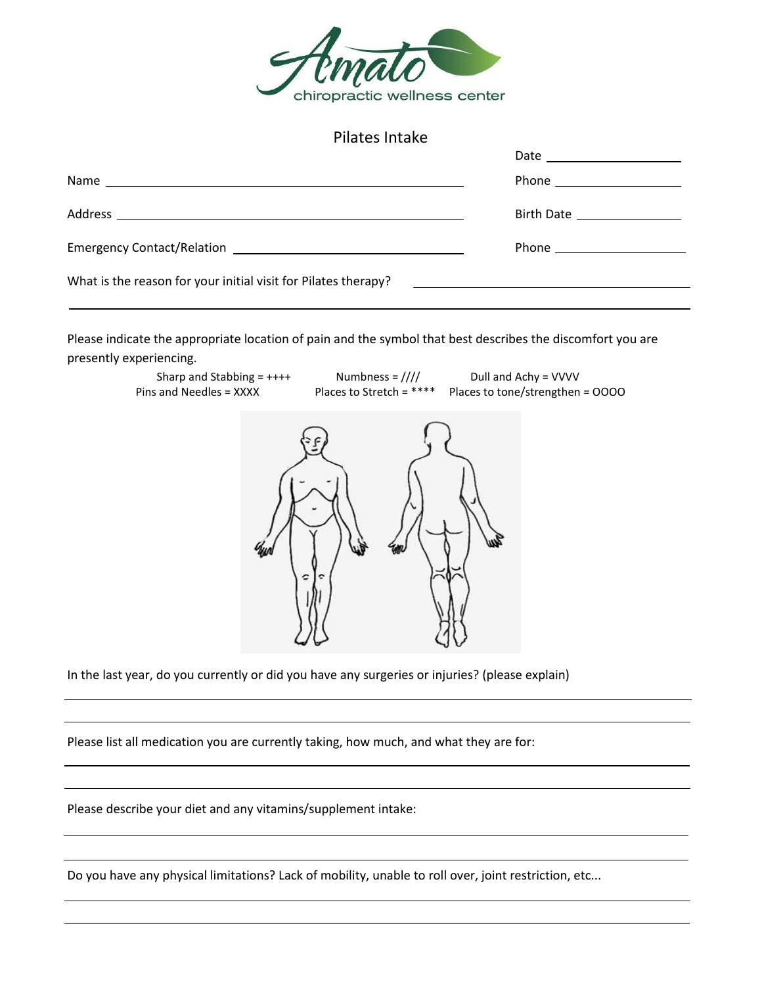

## Pilates Intake

|                                                                | Date _____________________                                  |
|----------------------------------------------------------------|-------------------------------------------------------------|
|                                                                |                                                             |
|                                                                | Birth Date ________________                                 |
|                                                                |                                                             |
| What is the reason for your initial visit for Pilates therapy? | <u> 1980 - Andrea Station, amerikansk politik (d. 1980)</u> |
|                                                                |                                                             |

Please indicate the appropriate location of pain and the symbol that best describes the discomfort you are presently experiencing.



In the last year, do you currently or did you have any surgeries or injuries? (please explain)

Please list all medication you are currently taking, how much, and what they are for:

Please describe your diet and any vitamins/supplement intake:

Do you have any physical limitations? Lack of mobility, unable to roll over, joint restriction, etc...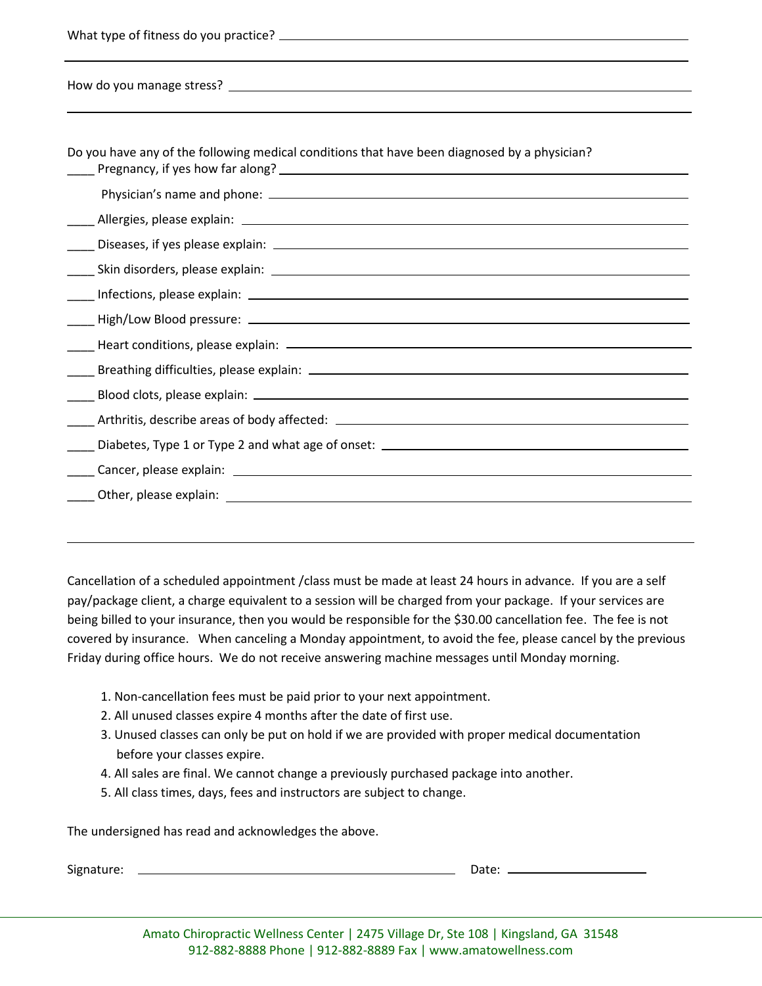| Do you have any of the following medical conditions that have been diagnosed by a physician? |  |
|----------------------------------------------------------------------------------------------|--|
|                                                                                              |  |
|                                                                                              |  |
|                                                                                              |  |
|                                                                                              |  |
|                                                                                              |  |
|                                                                                              |  |
|                                                                                              |  |
|                                                                                              |  |
|                                                                                              |  |
|                                                                                              |  |
|                                                                                              |  |
|                                                                                              |  |
|                                                                                              |  |

Cancellation of a scheduled appointment /class must be made at least 24 hours in advance. If you are a self pay/package client, a charge equivalent to a session will be charged from your package. If your services are being billed to your insurance, then you would be responsible for the \$30.00 cancellation fee. The fee is not covered by insurance. When canceling a Monday appointment, to avoid the fee, please cancel by the previous Friday during office hours. We do not receive answering machine messages until Monday morning.

- 1. Non-cancellation fees must be paid prior to your next appointment.
- 2. All unused classes expire 4 months after the date of first use.
- 3. Unused classes can only be put on hold if we are provided with proper medical documentation before your classes expire.
- 4. All sales are final. We cannot change a previously purchased package into another.
- 5. All class times, days, fees and instructors are subject to change.

The undersigned has read and acknowledges the above.

Signature: Date: